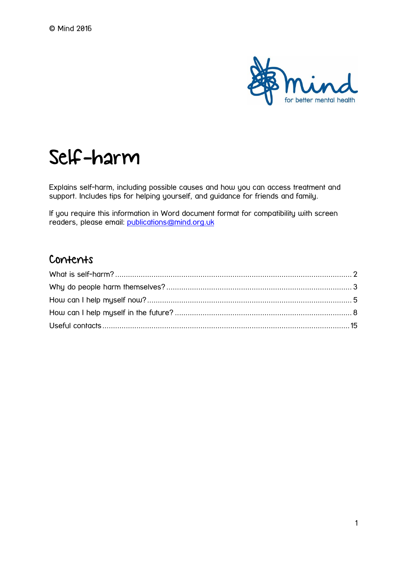

# Self-harm

Explains self-harm, including possible causes and how you can access treatment and support. Includes tips for helping yourself, and guidance for friends and family.

If you require this information in Word document format for compatibility with screen readers, please email: [publications@mind.org.uk](mailto:publications@mind.org.uk)

## Contents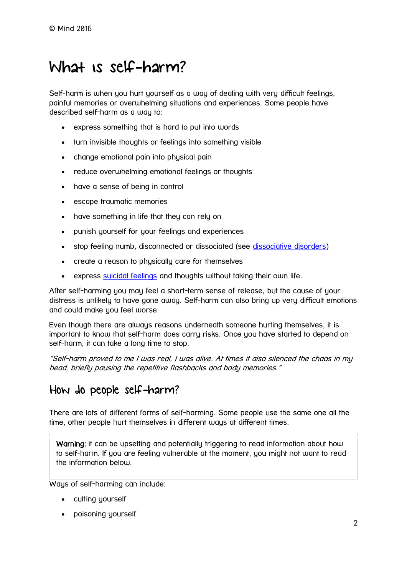# <span id="page-1-0"></span>What is self-harm?

Self-harm is when you hurt yourself as a way of dealing with very difficult feelings, painful memories or overwhelming situations and experiences. Some people have described self-harm as a way to:

- express something that is hard to put into words
- turn invisible thoughts or feelings into something visible
- change emotional pain into physical pain
- reduce overwhelming emotional feelings or thoughts
- have a sense of being in control
- escape traumatic memories
- have something in life that they can rely on
- punish yourself for your feelings and experiences
- stop feeling numb, disconnected or dissociated (see [dissociative disorders\)](https://www.mind.org.uk/information-support/types-of-mental-health-problems/dissociative-disorders/#.V6cG_tQrJR0)
- create a reason to physically care for themselves
- express [suicidal feelings](https://www.mind.org.uk/information-support/types-of-mental-health-problems/suicidal-feelings/) and thoughts without taking their own life.

After self-harming you may feel a short-term sense of release, but the cause of your distress is unlikely to have gone away. Self-harm can also bring up very difficult emotions and could make you feel worse.

Even though there are always reasons underneath someone hurting themselves, it is important to know that self-harm does carry risks. Once you have started to depend on self-harm, it can take a long time to stop.

"Self-harm proved to me I was real, I was alive. At times it also silenced the chaos in my head, briefly pausing the repetitive flashbacks and body memories."

## How do people self-harm?

There are lots of different forms of self-harming. Some people use the same one all the time, other people hurt themselves in different ways at different times.

Warning: it can be upsetting and potentially triggering to read information about how to self-harm. If you are feeling vulnerable at the moment, you might not want to read the information below.

Ways of self-harming can include:

- cutting yourself
- poisoning yourself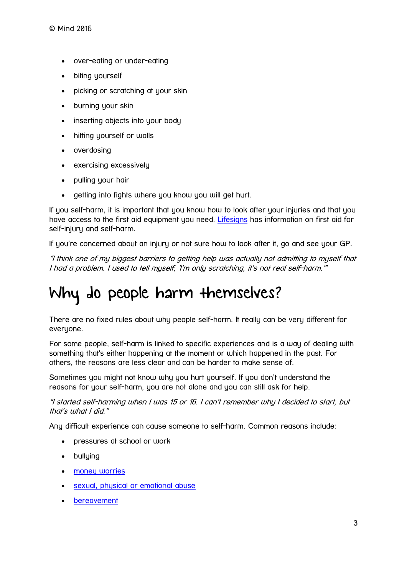- over-eating or under-eating
- biting yourself
- picking or scratching at your skin
- burning your skin
- inserting objects into your body
- hitting yourself or walls
- overdosing
- exercising excessively
- pulling your hair
- getting into fights where you know you will get hurt.

If you self-harm, it is important that you know how to look after your injuries and that you have access to the first aid equipment you need. [Lifesigns](http://www.lifesigns.org.uk/first-aid-for-self-injury-and-self-harm/) has information on first aid for self-injury and self-harm.

If you're concerned about an injury or not sure how to look after it, go and see your GP.

"I think one of my biggest barriers to getting help was actually not admitting to myself that I had a problem. I used to tell myself, 'I'm only scratching, it's not real self-harm.'"

# <span id="page-2-0"></span>Why do people harm themselves?

There are no fixed rules about why people self-harm. It really can be very different for everyone.

For some people, self-harm is linked to specific experiences and is a way of dealing with something that's either happening at the moment or which happened in the past. For others, the reasons are less clear and can be harder to make sense of.

Sometimes you might not know why you hurt yourself. If you don't understand the reasons for your self-harm, you are not alone and you can still ask for help.

"I started self-harming when I was 15 or 16. I can't remember why I decided to start, but that's what I did."

Any difficult experience can cause someone to self-harm. Common reasons include:

- pressures at school or work
- bullying
- [money worries](https://www.mind.org.uk/information-support/tips-for-everyday-living/money-and-mental-health/)
- sexual, physical [or emotional abuse](https://www.mind.org.uk/information-support/guides-to-support-and-services/abuse/)
- [bereavement](https://www.mind.org.uk/information-support/guides-to-support-and-services/bereavement/)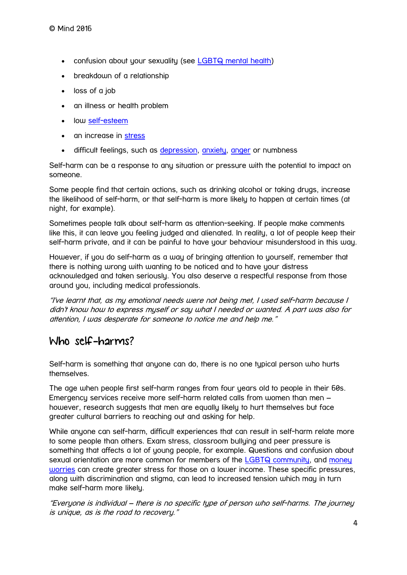- confusion about your sexuality (see [LGBTQ mental health\)](https://www.mind.org.uk/information-support/guides-to-support-and-services/lgbtq-mental-health/)
- breakdown of a relationship
- loss of a job
- an illness or health problem
- low [self-esteem](https://www.mind.org.uk/information-support/types-of-mental-health-problems/self-esteem/)
- an increase in [stress](https://www.mind.org.uk/information-support/types-of-mental-health-problems/stress/)
- difficult feelings, such as [depression,](https://www.mind.org.uk/information-support/types-of-mental-health-problems/depression/) [anxiety,](https://www.mind.org.uk/information-support/types-of-mental-health-problems/anxiety-and-panic-attacks/) [anger](https://www.mind.org.uk/information-support/types-of-mental-health-problems/anger/) or numbness

Self-harm can be a response to any situation or pressure with the potential to impact on someone.

Some people find that certain actions, such as drinking alcohol or taking drugs, increase the likelihood of self-harm, or that self-harm is more likely to happen at certain times (at night, for example).

Sometimes people talk about self-harm as attention-seeking. If people make comments like this, it can leave you feeling judged and alienated. In reality, a lot of people keep their self-harm private, and it can be painful to have your behaviour misunderstood in this way.

However, if you do self-harm as a way of bringing attention to yourself, remember that there is nothing wrong with wanting to be noticed and to have your distress acknowledged and taken seriously. You also deserve a respectful response from those around you, including medical professionals.

"I've learnt that, as my emotional needs were not being met, I used self-harm because I didn't know how to express myself or say what I needed or wanted. A part was also for attention, I was desperate for someone to notice me and help me."

## Who self-harms?

Self-harm is something that anyone can do, there is no one typical person who hurts themselves.

The age when people first self-harm ranges from four years old to people in their 60s. Emergency services receive more self-harm related calls from women than men – however, research suggests that men are equally likely to hurt themselves but face greater cultural barriers to reaching out and asking for help.

While anyone can self-harm, difficult experiences that can result in self-harm relate more to some people than others. Exam stress, classroom bullying and peer pressure is something that affects a lot of young people, for example. Questions and confusion about sexual orientation are more common for members of the [LGBTQ community,](https://www.mind.org.uk/information-support/guides-to-support-and-services/lgbtq-mental-health/) and [money](https://www.mind.org.uk/information-support/tips-for-everyday-living/money-and-mental-health/)  [worries](https://www.mind.org.uk/information-support/tips-for-everyday-living/money-and-mental-health/) can create greater stress for those on a lower income. These specific pressures, along with discrimination and stigma, can lead to increased tension which may in turn make self-harm more likely.

"Everyone is individual – there is no specific type of person who self-harms. The journey is unique, as is the road to recovery."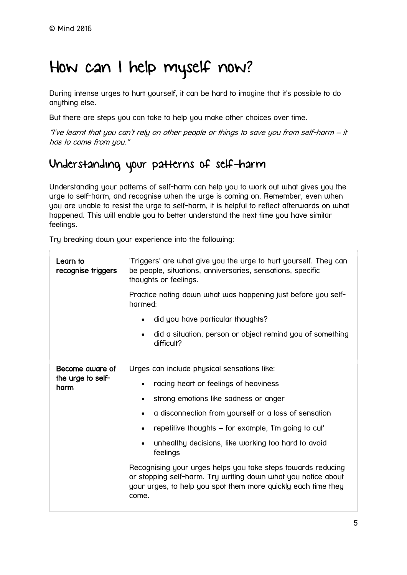# <span id="page-4-0"></span>How can I help myself now?

During intense urges to hurt yourself, it can be hard to imagine that it's possible to do anything else.

But there are steps you can take to help you make other choices over time.

"I've learnt that you can't rely on other people or things to save you from self-harm – it has to come from you."

## Understanding your patterns of self-harm

Understanding your patterns of self-harm can help you to work out what gives you the urge to self-harm, and recognise when the urge is coming on. Remember, even when you are unable to resist the urge to self-harm, it is helpful to reflect afterwards on what happened. This will enable you to better understand the next time you have similar feelings.

Try breaking down your experience into the following:

| Learn to<br>recognise triggers               | 'Triggers' are what give you the urge to hurt yourself. They can<br>be people, situations, anniversaries, sensations, specific<br>thoughts or feelings.                                                 |
|----------------------------------------------|---------------------------------------------------------------------------------------------------------------------------------------------------------------------------------------------------------|
|                                              | Practice noting down what was happening just before you self-<br>harmed:                                                                                                                                |
|                                              | did you have particular thoughts?                                                                                                                                                                       |
|                                              | did a situation, person or object remind you of something<br>difficult?                                                                                                                                 |
| Become gware of<br>the urge to self-<br>harm | Urges can include physical sensations like:                                                                                                                                                             |
|                                              | racing heart or feelings of heaviness<br>$\bullet$                                                                                                                                                      |
|                                              | strong emotions like sadness or anger<br>$\bullet$                                                                                                                                                      |
|                                              | a disconnection from yourself or a loss of sensation                                                                                                                                                    |
|                                              | repetitive thoughts – for example, "I'm going to cut"                                                                                                                                                   |
|                                              | unhealthy decisions, like working too hard to avoid<br>feelings                                                                                                                                         |
|                                              | Recognising your urges helps you take steps towards reducing<br>or stopping self-harm. Try writing down what you notice about<br>your urges, to help you spot them more quickly each time they<br>come. |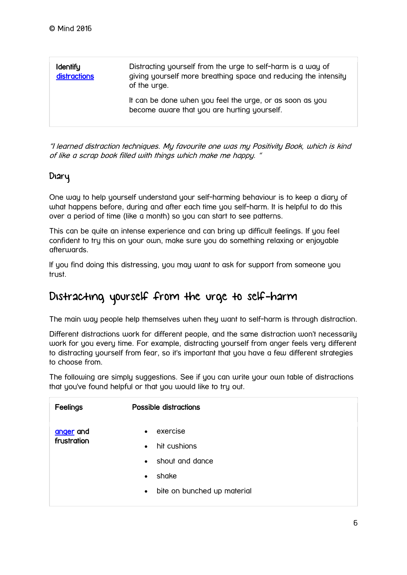| <b>Identify</b><br>distractions | Distracting yourself from the urge to self-harm is a way of<br>giving yourself more breathing space and reducing the intensity<br>of the urge. |
|---------------------------------|------------------------------------------------------------------------------------------------------------------------------------------------|
|                                 | It can be done when you feel the urge, or as soon as you<br>become aware that you are hurting yourself.                                        |

"I learned distraction techniques. My favourite one was my Positivity Book, which is kind of like a scrap book filled with things which make me happy. "

### Diary

One way to help yourself understand your self-harming behaviour is to keep a diary of what happens before, during and after each time you self-harm. It is helpful to do this over a period of time (like a month) so you can start to see patterns.

This can be quite an intense experience and can bring up difficult feelings. If you feel confident to try this on your own, make sure you do something relaxing or enjoyable afterwards.

If you find doing this distressing, you may want to ask for support from someone you trust.

# Distracting yourself from the urge to self-harm

The main way people help themselves when they want to self-harm is through distraction.

Different distractions work for different people, and the same distraction won't necessarily work for you every time. For example, distracting yourself from anger feels very different to distracting yourself from fear, so it's important that you have a few different strategies to choose from.

The following are simply suggestions. See if you can write your own table of distractions that you've found helpful or that you would like to try out.

| Feelings                 | Possible distractions                                                                                                                     |
|--------------------------|-------------------------------------------------------------------------------------------------------------------------------------------|
| anger and<br>frustration | exercise<br>$\bullet$<br>hit cushions<br>$\bullet$<br>• shout and dance<br>shake<br>$\bullet$<br>bite on bunched up material<br>$\bullet$ |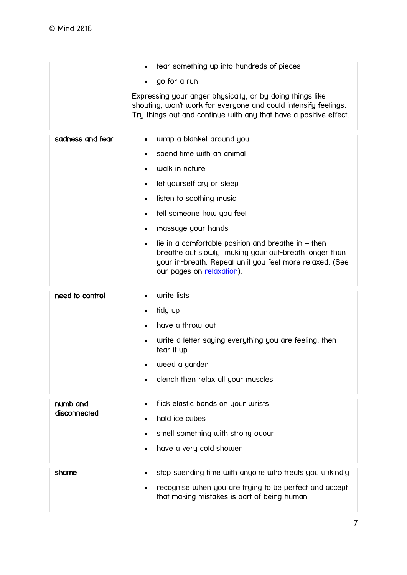|                  | tear something up into hundreds of pieces                                                                                                                                                                             |
|------------------|-----------------------------------------------------------------------------------------------------------------------------------------------------------------------------------------------------------------------|
|                  | go for a run<br>$\bullet$                                                                                                                                                                                             |
|                  | Expressing your anger physically, or by doing things like<br>shouting, won't work for everyone and could intensify feelings.<br>Try things out and continue with any that have a positive effect.                     |
| sadness and fear | wrap a blanket around you<br>$\bullet$                                                                                                                                                                                |
|                  | spend time with an animal<br>٠                                                                                                                                                                                        |
|                  | walk in nature<br>٠                                                                                                                                                                                                   |
|                  | let yourself cry or sleep<br>$\bullet$                                                                                                                                                                                |
|                  | listen to soothing music<br>$\bullet$                                                                                                                                                                                 |
|                  | tell someone how you feel<br>$\bullet$                                                                                                                                                                                |
|                  | massage your hands<br>$\bullet$                                                                                                                                                                                       |
|                  | lie in a comfortable position and breathe in $-$ then<br>$\bullet$<br>breathe out slowly, making your out-breath longer than<br>your in-breath. Repeat until you feel more relaxed. (See<br>our pages on relaxation). |
| need to control  | write lists                                                                                                                                                                                                           |
|                  | tidy up<br>$\bullet$                                                                                                                                                                                                  |
|                  | have a throw-out                                                                                                                                                                                                      |
|                  | write a letter saying everything you are feeling, then<br>tear it up                                                                                                                                                  |
|                  | weed a garden                                                                                                                                                                                                         |
|                  | clench then relax all your muscles                                                                                                                                                                                    |
| numb and         | flick elastic bands on your wrists                                                                                                                                                                                    |
| disconnected     | hold ice cubes                                                                                                                                                                                                        |
|                  | smell something with strong odour                                                                                                                                                                                     |
|                  | have a very cold shower<br>$\bullet$                                                                                                                                                                                  |
| shame            | stop spending time with anyone who treats you unkindly<br>recognise when you are trying to be perfect and accept<br>that making mistakes is part of being human                                                       |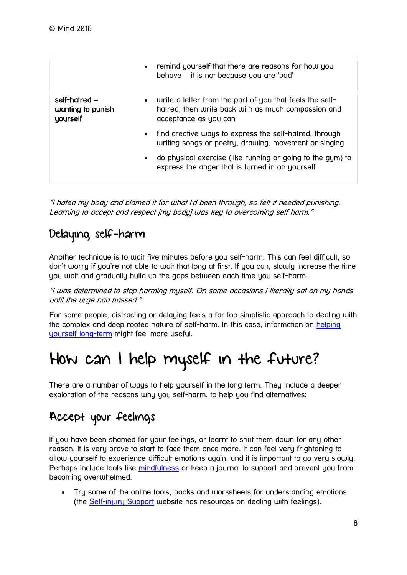|                                                | remind yourself that there are reasons for how you<br>$\bullet$<br>behave – it is not because you are 'bad'                                           |
|------------------------------------------------|-------------------------------------------------------------------------------------------------------------------------------------------------------|
| self-hatred -<br>wanting to punish<br>yourself | write a letter from the part of you that feels the self-<br>$\bullet$<br>hatred, then write back with as much compassion and<br>acceptance as you can |
|                                                | find creative ways to express the self-hatred, through<br>$\bullet$<br>writing songs or poetry, drawing, movement or singing                          |
|                                                | do physical exercise (like running or going to the gym) to<br>$\bullet$<br>express the anger that is turned in on yourself                            |

"I hated my body and blamed it for what I'd been through, so felt it needed punishing. Learning to accept and respect [my body] was key to overcoming self harm."

# Delaying self-harm

Another technique is to wait five minutes before you self-harm. This can feel difficult, so don't worry if you're not able to wait that long at first. If you can, slowly increase the time you wait and gradually build up the gaps between each time you self-harm.

"I was determined to stop harming myself. On some occasions I literally sat on my hands until the urge had passed."

For some people, distracting or delaying feels a far too simplistic approach to dealing with the complex and deep rooted nature of self-harm. In this case, information on helping [yourself long-term](https://www.mind.org.uk/information-support/types-of-mental-health-problems/self-harm/helping-yourself-long-term/) might feel more useful.

# <span id="page-7-0"></span>How can I help myself in the future?

There are a number of ways to help yourself in the long term. They include a deeper exploration of the reasons why you self-harm, to help you find alternatives:

## Accept your feelings

If you have been shamed for your feelings, or learnt to shut them down for any other reason, it is very brave to start to face them once more. It can feel very frightening to allow yourself to experience difficult emotions again, and it is important to go very slowly. Perhaps include tools like [mindfulness](https://www.mind.org.uk/information-support/drugs-and-treatments/mindfulness/#.V6d7ktQrJR0) or keep a journal to support and prevent you from becoming overwhelmed.

 Try some of the online tools, books and worksheets for understanding emotions (the [Self-injury Support](http://www.selfinjurysupport.org.uk/) website has resources on dealing with feelings).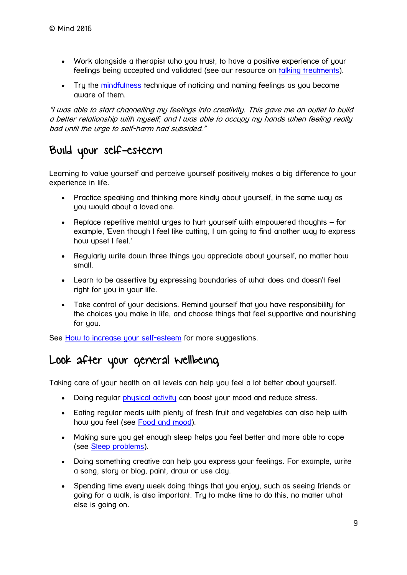- Work alongside a therapist who you trust, to have a positive experience of your feelings being accepted and validated (see our resource on [talking treatments\)](https://www.mind.org.uk/information-support/drugs-and-treatments/talking-treatments/#.V-pn4tQrJR0).
- Try the [mindfulness](https://www.mind.org.uk/information-support/drugs-and-treatments/mindfulness/#.V-poO9QrJR0) technique of noticing and naming feelings as you become aware of them.

"I was able to start channelling my feelings into creativity. This gave me an outlet to build a better relationship with myself, and I was able to occupy my hands when feeling really bad until the urge to self-harm had subsided."

# Build your self-esteem

Learning to value yourself and perceive yourself positively makes a big difference to your experience in life.

- Practice speaking and thinking more kindly about yourself, in the same way as you would about a loved one.
- Replace repetitive mental urges to hurt yourself with empowered thoughts for example, 'Even though I feel like cutting, I am going to find another way to express how upset I feel.'
- Regularly write down three things you appreciate about yourself, no matter how small.
- Learn to be assertive by expressing boundaries of what does and doesn't feel right for you in your life.
- Take control of your decisions. Remind yourself that you have responsibility for the choices you make in life, and choose things that feel supportive and nourishing for you.

See [How to increase your self-esteem](https://www.mind.org.uk/information-support/types-of-mental-health-problems/self-esteem/) for more suggestions.

## Look after your general wellbeing

Taking care of your health on all levels can help you feel a lot better about yourself.

- Doing regular *physical activity* can boost your mood and reduce stress.
- Eating regular meals with plenty of fresh fruit and vegetables can also help with how you feel (see [Food and mood\)](https://www.mind.org.uk/information-support/tips-for-everyday-living/food-and-mood/#.V6sm4NQrJR0).
- Making sure you get enough sleep helps you feel better and more able to cope (see [Sleep problems\)](https://www.mind.org.uk/information-support/types-of-mental-health-problems/sleep-problems/sleep-problems/?o=10124).
- Doing something creative can help you express your feelings. For example, write a song, story or blog, paint, draw or use clay.
- Spending time every week doing things that you enjoy, such as seeing friends or going for a walk, is also important. Try to make time to do this, no matter what else is going on.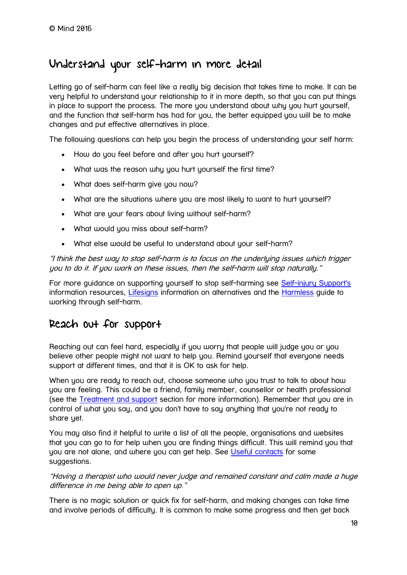## Understand your self-harm in more detail

Letting go of self-harm can feel like a really big decision that takes time to make. It can be very helpful to understand your relationship to it in more depth, so that you can put things in place to support the process. The more you understand about why you hurt yourself, and the function that self-harm has had for you, the better equipped you will be to make changes and put effective alternatives in place.

The following questions can help you begin the process of understanding your self harm:

- How do you feel before and after you hurt yourself?
- What was the reason why you hurt yourself the first time?
- What does self-harm give you now?
- What are the situations where you are most likely to want to hurt yourself?
- What are your fears about living without self-harm?
- What would you miss about self-harm?
- What else would be useful to understand about your self-harm?

"I think the best way to stop self-harm is to focus on the underlying issues which trigger you to do it. If you work on these issues, then the self-harm will stop naturally."

For more guidance on supporting yourself to stop self-harming see [Self-injury Support's](http://www.selfinjurysupport.org.uk/) information resources, [Lifesigns](http://www.lifesigns.org.uk/) information on alternatives and the **Harmless** guide to working through self-harm.

## Reach out for support

Reaching out can feel hard, especially if you worry that people will judge you or you believe other people might not want to help you. Remind yourself that everyone needs support at different times, and that it is OK to ask for help.

When you are ready to reach out, choose someone who you trust to talk to about how you are feeling. This could be a friend, family member, counsellor or health professional (see the [Treatment and support](https://www.mind.org.uk/information-support/types-of-mental-health-problems/self-harm/treatment-and-support/) section for more information). Remember that you are in control of what you say, and you don't have to say anything that you're not ready to share yet.

You may also find it helpful to write a list of all the people, organisations and websites that you can go to for help when you are finding things difficult. This will remind you that you are not alone, and where you can get help. See [Useful contacts](https://www.mind.org.uk/information-support/types-of-mental-health-problems/self-harm/useful-contacts/) for some suggestions.

"Having a therapist who would never judge and remained constant and calm made a huge difference in me being able to open up."

There is no magic solution or quick fix for self-harm, and making changes can take time and involve periods of difficulty. It is common to make some progress and then get back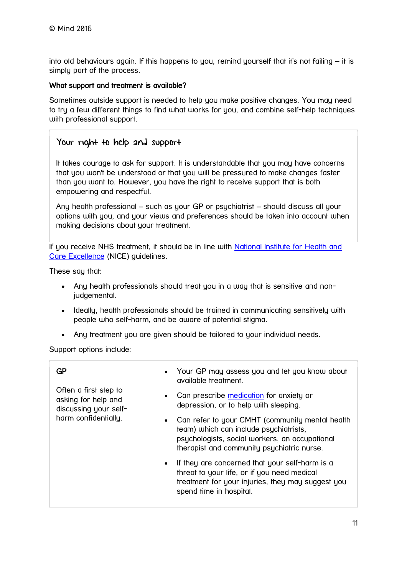into old behaviours again. If this happens to you, remind yourself that it's not failing – it is simply part of the process.

#### What support and treatment is available?

Sometimes outside support is needed to help you make positive changes. You may need to try a few different things to find what works for you, and combine self-help techniques with professional support.

#### Your right to help and support

It takes courage to ask for support. It is understandable that you may have concerns that you won't be understood or that you will be pressured to make changes faster than you want to. However, you have the right to receive support that is both empowering and respectful.

Any health professional – such as your GP or psychiatrist – should discuss all your options with you, and your views and preferences should be taken into account when making decisions about your treatment.

If you receive NHS treatment, it should be in line with [National Institute for Health and](https://www.nice.org.uk/guidance/cg16)  [Care Excellence](https://www.nice.org.uk/guidance/cg16) (NICE) guidelines.

These say that:

- Any health professionals should treat you in a way that is sensitive and nonjudgemental.
- Ideally, health professionals should be trained in communicating sensitively with people who self-harm, and be aware of potential stigma.
- Any treatment you are given should be tailored to your individual needs.

Support options include:

| GP                                                                    | Your GP may assess you and let you know about<br>available treatment.                                                                                                                      |
|-----------------------------------------------------------------------|--------------------------------------------------------------------------------------------------------------------------------------------------------------------------------------------|
| Often a first step to<br>asking for help and<br>discussing your self- | Can prescribe medication for anxiety or<br>$\bullet$<br>depression, or to help with sleeping.                                                                                              |
| harm confidentially.                                                  | Can refer to your CMHT (community mental health<br>team) which can include psychiatrists,<br>psychologists, social workers, an occupational<br>therapist and community psychiatric nurse.  |
|                                                                       | If they are concerned that your self-harm is a<br>$\bullet$<br>threat to your life, or if you need medical<br>treatment for your injuries, they may suggest you<br>spend time in hospital. |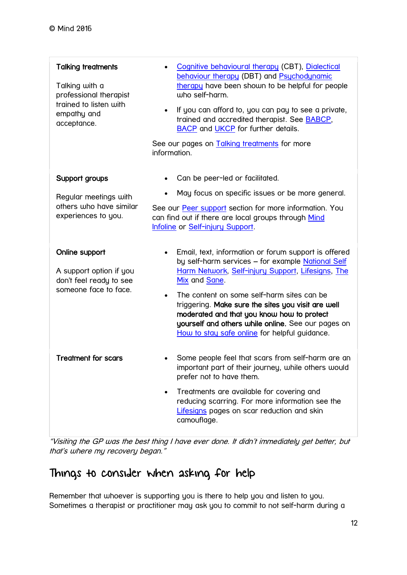| Talking treatments<br>Talking with a<br>professional therapist<br>trained to listen with<br>empathy and<br>acceptance. | Cognitive behavioural therapy (CBT), Dialectical<br>behaviour therapy (DBT) and Psychodynamic<br>therapy have been shown to be helpful for people<br>who self-harm.<br>If you can afford to, you can pay to see a private,<br>$\bullet$<br>trained and accredited therapist. See <b>BABCP</b> ,<br><b>BACP</b> and <b>UKCP</b> for further details.<br>See our pages on Talking treatments for more<br>information.                                   |
|------------------------------------------------------------------------------------------------------------------------|-------------------------------------------------------------------------------------------------------------------------------------------------------------------------------------------------------------------------------------------------------------------------------------------------------------------------------------------------------------------------------------------------------------------------------------------------------|
| Support groups<br>Regular meetings with<br>others who have similar<br>experiences to you.                              | Can be peer-led or facilitated.<br>May focus on specific issues or be more general.<br>See our Peer support section for more information. You<br>can find out if there are local groups through Mind<br>Infoline or Self-injury Support.                                                                                                                                                                                                              |
| Online support<br>A support option if you<br>don't feel ready to see<br>someone face to face.                          | Email, text, information or forum support is offered<br>by self-harm services - for example National Self<br>Harm Network, Self-injury Support, Lifesigns, The<br>Mix and Sane.<br>The content on some self-harm sites can be<br>$\bullet$<br>triggering. Make sure the sites you visit are well<br>moderated and that you know how to protect<br>yourself and others while online. See our pages on<br>How to stay safe online for helpful guidance. |
| <b>Treatment for scars</b>                                                                                             | Some people feel that scars from self-harm are an<br>important part of their journey, while others would<br>prefer not to have them.<br>Treatments are available for covering and<br>$\bullet$<br>reducing scarring. For more information see the<br>Lifesigns pages on scar reduction and skin<br>camouflage.                                                                                                                                        |

"Visiting the GP was the best thing I have ever done. It didn't immediately get better, but that's where my recovery began."

# Things to consider when asking for help

Remember that whoever is supporting you is there to help you and listen to you. Sometimes a therapist or practitioner may ask you to commit to not self-harm during a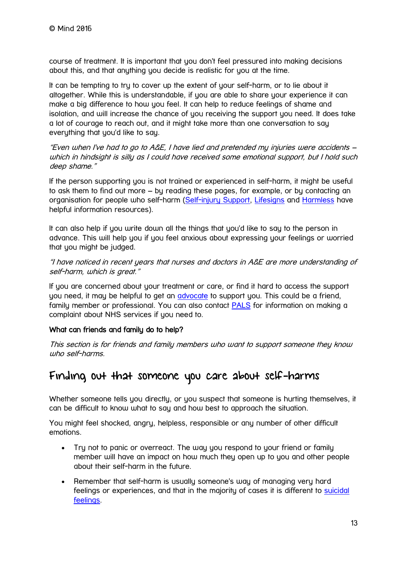course of treatment. It is important that you don't feel pressured into making decisions about this, and that anything you decide is realistic for you at the time.

It can be tempting to try to cover up the extent of your self-harm, or to lie about it altogether. While this is understandable, if you are able to share your experience it can make a big difference to how you feel. It can help to reduce feelings of shame and isolation, and will increase the chance of you receiving the support you need. It does take a lot of courage to reach out, and it might take more than one conversation to say everything that you'd like to say.

"Even when I've had to go to A&E, I have lied and pretended my injuries were accidents – which in hindsight is silly as I could have received some emotional support, but I hold such deep shame."

If the person supporting you is not trained or experienced in self-harm, it might be useful to ask them to find out more – by reading these pages, for example, or by contacting an organisation for people who self-harm [\(Self-injury Support,](http://www.selfinjurysupport.org.uk/) [Lifesigns](http://www.lifesigns.org.uk/) and [Harmless](http://www.harmless.org.uk/) have helpful information resources).

It can also help if you write down all the things that you'd like to say to the person in advance. This will help you if you feel anxious about expressing your feelings or worried that you might be judged.

"I have noticed in recent years that nurses and doctors in A&E are more understanding of self-harm, which is great."

If you are concerned about your treatment or care, or find it hard to access the support you need, it may be helpful to get an [advocate](https://www.mind.org.uk/information-support/guides-to-support-and-services/advocacy/) to support you. This could be a friend, family member or professional. You can also contact [PALS](http://www.nhs.uk/chq/pages/1082.aspx?CategoryID=68) for information on making a complaint about NHS services if you need to.

#### What can friends and family do to help?

This section is for friends and family members who want to support someone they know who self-harms.

## Finding out that someone you care about self-harms

Whether someone tells you directly, or you suspect that someone is hurting themselves, it can be difficult to know what to say and how best to approach the situation.

You might feel shocked, angry, helpless, responsible or any number of other difficult emotions.

- Try not to panic or overreact. The way you respond to your friend or family member will have an impact on how much they open up to you and other people about their self-harm in the future.
- Remember that self-harm is usually someone's way of managing very hard feelings or experiences, and that in the majority of cases it is different to [suicidal](https://www.mind.org.uk/information-support/types-of-mental-health-problems/suicidal-feelings/)  [feelings.](https://www.mind.org.uk/information-support/types-of-mental-health-problems/suicidal-feelings/)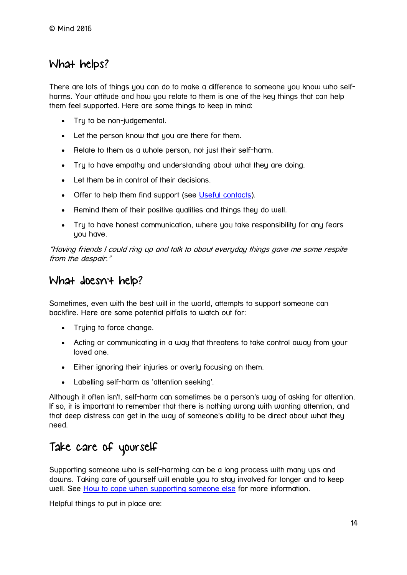## What helps?

There are lots of things you can do to make a difference to someone you know who selfharms. Your attitude and how you relate to them is one of the key things that can help them feel supported. Here are some things to keep in mind:

- Try to be non-judgemental.
- Let the person know that you are there for them.
- Relate to them as a whole person, not just their self-harm.
- Try to have empathy and understanding about what they are doing.
- Let them be in control of their decisions.
- Offer to help them find support (see [Useful contacts\)](https://www.mind.org.uk/information-support/types-of-mental-health-problems/self-harm/useful-contacts/).
- Remind them of their positive qualities and things they do well.
- Try to have honest communication, where you take responsibility for any fears you have.

"Having friends I could ring up and talk to about everyday things gave me some respite from the despair."

## What doesn't help?

Sometimes, even with the best will in the world, attempts to support someone can backfire. Here are some potential pitfalls to watch out for:

- Truing to force change.
- Acting or communicating in a way that threatens to take control away from your loved one.
- Either ignoring their injuries or overly focusing on them.
- Labelling self-harm as 'attention seeking'.

Although it often isn't, self-harm can sometimes be a person's way of asking for attention. If so, it is important to remember that there is nothing wrong with wanting attention, and that deep distress can get in the way of someone's ability to be direct about what they need.

# Take care of yourself

Supporting someone who is self-harming can be a long process with many ups and downs. Taking care of yourself will enable you to stay involved for longer and to keep well. See [How to cope when supporting someone else](https://www.mind.org.uk/information-support/helping-someone-else/how-to-cope-when-supporting-someone-else/#.UnJuynD0Eg0) for more information.

Helpful things to put in place are: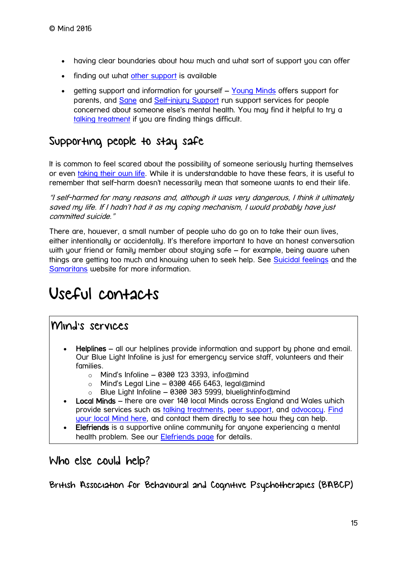- having clear boundaries about how much and what sort of support you can offer
- finding out what [other support](https://www.mind.org.uk/information-support/types-of-mental-health-problems/self-harm/treatment-and-support/) is available
- getting support and information for yourself [Young Minds](https://www.youngminds.org.uk/) offers support for parents, and [Sane](http://www.sane.org.uk/) and [Self-injury Support](http://www.selfinjurysupport.org.uk/home) run support services for people concerned about someone else's mental health. You may find it helpful to try a [talking treatment](https://www.mind.org.uk/information-support/drugs-and-treatments/talking-treatments/#.V6yuVNQrJR0) if you are finding things difficult.

## Supporting people to stay safe

It is common to feel scared about the possibility of someone seriously hurting themselves or even [taking their own life.](https://www.mind.org.uk/information-support/types-of-mental-health-problems/suicidal-feelings/) While it is understandable to have these fears, it is useful to remember that self-harm doesn't necessarily mean that someone wants to end their life.

"I self-harmed for many reasons and, although it was very dangerous, I think it ultimately saved my life. If I hadn't had it as my coping mechanism, I would probably have just committed suicide."

There are, however, a small number of people who do go on to take their own lives, either intentionally or accidentally. It's therefore important to have an honest conversation with your friend or family member about staying safe – for example, being aware when things are getting too much and knowing when to seek help. See [Suicidal feelings](https://www.mind.org.uk/information-support/types-of-mental-health-problems/suicidal-feelings/) and the [Samaritans](http://www.samaritans.org/) website for more information.

# <span id="page-14-0"></span>Useful contacts

## Mind's services

- Helplines all our helplines provide information and support by phone and email. Our Blue Light Infoline is just for emergency service staff, volunteers and their families.
	- $\circ$  Mind's Infoline 0300 123 3393, info@mind
	- $\circ$  Mind's Legal Line 0300 466 6463, legal@mind
	- o Blue Light Infoline 0300 303 5999, bluelightinfo@mind
- Local Minds there are over 140 local Minds across England and Wales which provide services such as [talking treatments,](https://www.mind.org.uk/information-support/drugs-and-treatments/talking-treatments/) [peer support,](https://www.mind.org.uk/information-support/drugs-and-treatments/peer-support/) and [advocacy.](https://www.mind.org.uk/information-support/guides-to-support-and-services/advocacy/) [Find](https://www.mind.org.uk/information-support/local-minds/)  [your local Mind here,](https://www.mind.org.uk/information-support/local-minds/) and contact them directly to see how they can help.
- Elefriends is a supportive online community for anyone experiencing a mental health problem. See our [Elefriends page](https://www.mind.org.uk/elefriends/) for details.

## Who else could help?

British Association for Behavioural and Cognitive Psychotherapies (BABCP)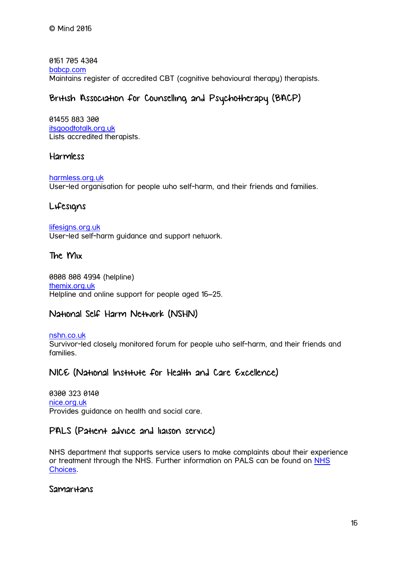0161 705 4304 [babcp.com](http://www.babcp.com/Default.aspx) Maintains register of accredited CBT (cognitive behavioural therapy) therapists.

### British Association for Counselling and Psychotherapy (BACP)

01455 883 300 [itsgoodtotalk.org.uk](http://www.itsgoodtotalk.org.uk/) Lists accredited therapists.

#### Harmless

[harmless.org.uk](http://www.harmless.org.uk/) User-led organisation for people who self-harm, and their friends and families.

#### Lifesigns

[lifesigns.org.uk](http://www.lifesigns.org.uk/) User-led self-harm guidance and support network.

#### The Mix

0808 808 4994 (helpline) [themix.org.uk](http://www.themix.org.uk/mental-health/self-harm) Helpline and online support for people aged 16–25.

### National Self Harm Network (NSHN)

[nshn.co.uk](http://nshn.co.uk/) Survivor-led closely monitored forum for people who self-harm, and their friends and families.

#### NICE (National Institute for Health and Care Excellence)

0300 323 0140 [nice.org.uk](http://www.nice.org.uk/) Provides guidance on health and social care.

#### PALS (Patient advice and liaison service)

NHS department that supports service users to make complaints about their experience or treatment through the NHS. Further information on PALS can be found on [NHS](http://www.nhs.uk/chq/pages/1082.aspx?CategoryID=68)  [Choices.](http://www.nhs.uk/chq/pages/1082.aspx?CategoryID=68)

Samar<sub>Hans</sub>